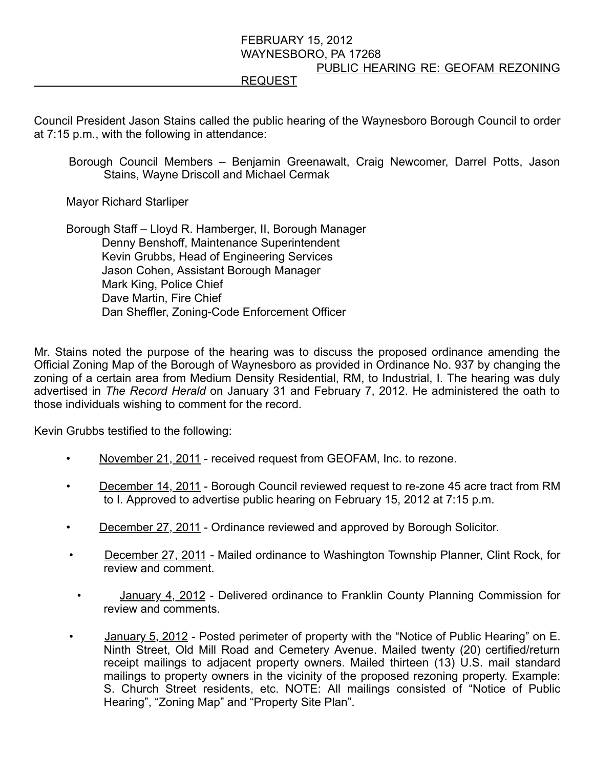## FEBRUARY 15, 2012 WAYNESBORO, PA 17268 PUBLIC HEARING RE: GEOFAM REZONING REQUEST

Council President Jason Stains called the public hearing of the Waynesboro Borough Council to order at 7:15 p.m., with the following in attendance:

Borough Council Members – Benjamin Greenawalt, Craig Newcomer, Darrel Potts, Jason Stains, Wayne Driscoll and Michael Cermak

Mayor Richard Starliper

 Borough Staff – Lloyd R. Hamberger, II, Borough Manager Denny Benshoff, Maintenance Superintendent Kevin Grubbs, Head of Engineering Services Jason Cohen, Assistant Borough Manager Mark King, Police Chief Dave Martin, Fire Chief Dan Sheffler, Zoning-Code Enforcement Officer

Mr. Stains noted the purpose of the hearing was to discuss the proposed ordinance amending the Official Zoning Map of the Borough of Waynesboro as provided in Ordinance No. 937 by changing the zoning of a certain area from Medium Density Residential, RM, to Industrial, I. The hearing was duly advertised in The Record Herald on January 31 and February 7, 2012. He administered the oath to those individuals wishing to comment for the record.

Kevin Grubbs testified to the following:

- November 21, 2011 received request from GEOFAM, Inc. to rezone.
- December 14, 2011 Borough Council reviewed request to re-zone 45 acre tract from RM to I. Approved to advertise public hearing on February 15, 2012 at 7:15 p.m.
- December 27, 2011 Ordinance reviewed and approved by Borough Solicitor.
- December 27, 2011 Mailed ordinance to Washington Township Planner, Clint Rock, for review and comment.
- January 4, 2012 Delivered ordinance to Franklin County Planning Commission for review and comments.
- **January 5, 2012 Posted perimeter of property with the "Notice of Public Hearing" on E.** Ninth Street, Old Mill Road and Cemetery Avenue. Mailed twenty (20) certified/return receipt mailings to adjacent property owners. Mailed thirteen (13) U.S. mail standard mailings to property owners in the vicinity of the proposed rezoning property. Example: S. Church Street residents, etc. NOTE: All mailings consisted of "Notice of Public Hearing", "Zoning Map" and "Property Site Plan".